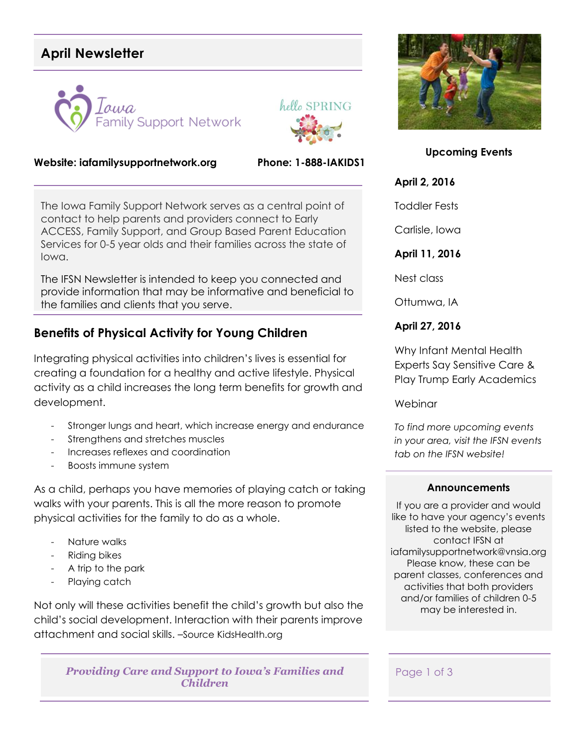# **April Newsletter**





#### **Website: iafamilysupportnetwork.org Phone: 1-888-IAKIDS1**

The Iowa Family Support Network serves as a central point of contact to help parents and providers connect to Early ACCESS, Family Support, and Group Based Parent Education Services for 0-5 year olds and their families across the state of Iowa.

The IFSN Newsletter is intended to keep you connected and provide information that may be informative and beneficial to the families and clients that you serve.

## **Benefits of Physical Activity for Young Children**

Integrating physical activities into children's lives is essential for creating a foundation for a healthy and active lifestyle. Physical activity as a child increases the long term benefits for growth and development.

- Stronger lungs and heart, which increase energy and endurance
- Strengthens and stretches muscles
- Increases reflexes and coordination
- Boosts immune system

As a child, perhaps you have memories of playing catch or taking walks with your parents. This is all the more reason to promote physical activities for the family to do as a whole.

- Nature walks
- Riding bikes
- A trip to the park
- Playing catch

Not only will these activities benefit the child's growth but also the child's social development. Interaction with their parents improve attachment and social skills. –Source KidsHealth.org

*Providing Care and Support to Iowa's Families and Children*



**Upcoming Events**

#### **April 2, 2016**

Toddler Fests

Carlisle, Iowa

### **April 11, 2016**

Nest class

Ottumwa, IA

### **April 27, 2016**

Why Infant Mental Health Experts Say Sensitive Care & Play Trump Early Academics

**Webinar** 

*To find more upcoming events in your area, visit the IFSN events tab on the IFSN website!*

#### **Announcements**

If you are a provider and would like to have your agency's events listed to the website, please contact IFSN at iafamilysupportnetwork@vnsia.org Please know, these can be parent classes, conferences and activities that both providers and/or families of children 0-5 may be interested in.

Page 1 of 3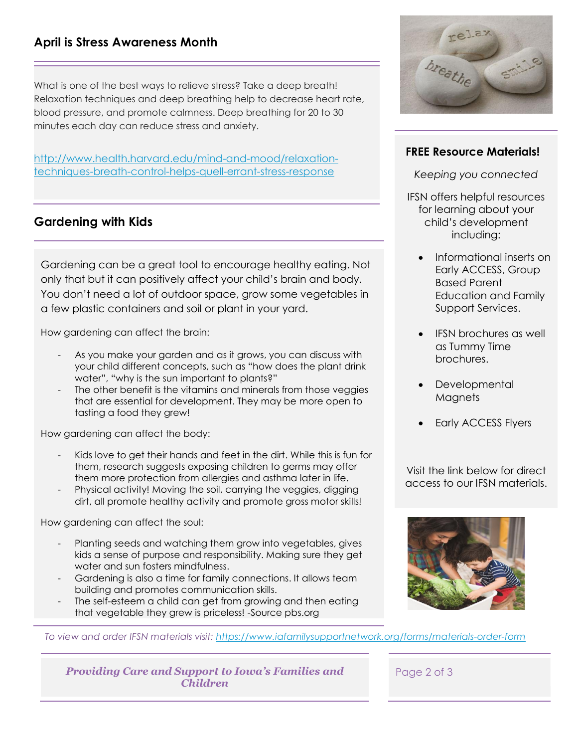## **April is Stress Awareness Month**

What is one of the best ways to relieve stress? Take a deep breath! Relaxation techniques and deep breathing help to decrease heart rate, blood pressure, and promote calmness. Deep breathing for 20 to 30 minutes each day can reduce stress and anxiety.

[http://www.health.harvard.edu/mind-and-mood/relaxation](http://www.health.harvard.edu/mind-and-mood/relaxation-techniques-breath-control-helps-quell-errant-stress-response)[techniques-breath-control-helps-quell-errant-stress-response](http://www.health.harvard.edu/mind-and-mood/relaxation-techniques-breath-control-helps-quell-errant-stress-response)

## **Gardening with Kids**

Gardening can be a great tool to encourage healthy eating. Not only that but it can positively affect your child's brain and body. You don't need a lot of outdoor space, grow some vegetables in a few plastic containers and soil or plant in your yard.

How gardening can affect the brain:

- As you make your garden and as it grows, you can discuss with your child different concepts, such as "how does the plant drink water", "why is the sun important to plants?"
- The other benefit is the vitamins and minerals from those veggies that are essential for development. They may be more open to tasting a food they grew!

How gardening can affect the body:

- Kids love to get their hands and feet in the dirt. While this is fun for them, research suggests exposing children to germs may offer them more protection from allergies and asthma later in life.
- Physical activity! Moving the soil, carrying the veggies, digging dirt, all promote healthy activity and promote gross motor skills!

How gardening can affect the soul:

- Planting seeds and watching them grow into vegetables, gives kids a sense of purpose and responsibility. Making sure they get water and sun fosters mindfulness.
- Gardening is also a time for family connections. It allows team building and promotes communication skills.
- The self-esteem a child can get from growing and then eating that vegetable they grew is priceless! -Source pbs.org



### **FREE Resource Materials!**

*Keeping you connected*

- IFSN offers helpful resources for learning about your child's development including:
	- Informational inserts on Early ACCESS, Group Based Parent Education and Family Support Services.
	- IFSN brochures as well as Tummy Time brochures.
	- **Developmental Magnets**
	- Early ACCESS Flyers

Visit the link below for direct access to our IFSN materials.



*To view and order IFSN materials visit:<https://www.iafamilysupportnetwork.org/forms/materials-order-form>*

*Providing Care and Support to Iowa's Families and Children*

Page 2 of 3